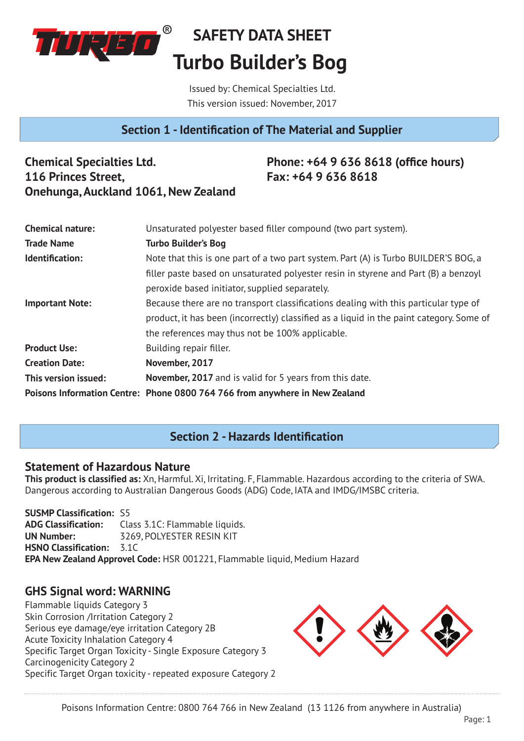

Issued by: Chemical Specialties Ltd. This version issued: November, 2017

# **Section 1 - Identification of The Material and Supplier**

**Chemical Specialties Ltd. 116 Princes Street, Onehunga, Auckland 1061, New Zealand**

# **Phone: +64 9 636 8618 (office hours) Fax: +64 9 636 8618**

| <b>Chemical nature:</b> | Unsaturated polyester based filler compound (two part system).                           |
|-------------------------|------------------------------------------------------------------------------------------|
| <b>Trade Name</b>       | <b>Turbo Builder's Bog</b>                                                               |
| Identification:         | Note that this is one part of a two part system. Part (A) is Turbo BUILDER'S BOG, a      |
|                         | filler paste based on unsaturated polyester resin in styrene and Part (B) a benzoyl      |
|                         | peroxide based initiator, supplied separately.                                           |
| <b>Important Note:</b>  | Because there are no transport classifications dealing with this particular type of      |
|                         | product, it has been (incorrectly) classified as a liquid in the paint category. Some of |
|                         | the references may thus not be 100% applicable.                                          |
| <b>Product Use:</b>     | Building repair filler.                                                                  |
| <b>Creation Date:</b>   | November, 2017                                                                           |
| This version issued:    | November, 2017 and is valid for 5 years from this date.                                  |
|                         | Poisons Information Centre: Phone 0800 764 766 from anywhere in New Zealand              |

# **Section 2 - Hazards Identification**

#### **Statement of Hazardous Nature**

**This product is classified as:** Xn, Harmful. Xi, Irritating. F, Flammable. Hazardous according to the criteria of SWA. Dangerous according to Australian Dangerous Goods (ADG) Code, IATA and IMDG/IMSBC criteria.

**SUSMP Classification: S5<br><b>ADG Classification:** Cla **ADG Classification:** Class 3.1C: Flammable liquids. **UN Number:** 3269, POLYESTER RESIN KIT **HSNO Classification:** 3.1C **EPA New Zealand Approvel Code:** HSR 001221, Flammable liquid, Medium Hazard

## **GHS Signal word: WARNING**

Flammable liquids Category 3 Skin Corrosion /Irritation Category 2 Serious eye damage/eye irritation Category 2B Acute Toxicity Inhalation Category 4 Specific Target Organ Toxicity - Single Exposure Category 3 Carcinogenicity Category 2 Specific Target Organ toxicity - repeated exposure Category 2

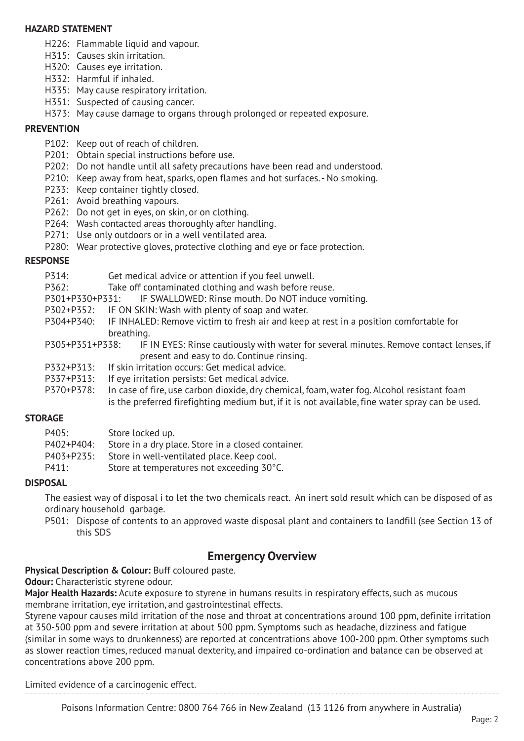#### **HAZARD STATEMENT**

- H226: Flammable liquid and vapour.
- H315: Causes skin irritation.
- H320: Causes eye irritation.
- H332: Harmful if inhaled.
- H335: May cause respiratory irritation.
- H351: Suspected of causing cancer.
- H373: May cause damage to organs through prolonged or repeated exposure.

#### **PREVENTION**

- P102: Keep out of reach of children.
- P201: Obtain special instructions before use.
- P202: Do not handle until all safety precautions have been read and understood.
- P210: Keep away from heat, sparks, open flames and hot surfaces. No smoking.
- P233: Keep container tightly closed.
- P261: Avoid breathing vapours.
- P262: Do not get in eyes, on skin, or on clothing.
- P264: Wash contacted areas thoroughly after handling.
- P271: Use only outdoors or in a well ventilated area.
- P280: Wear protective gloves, protective clothing and eye or face protection.

#### **RESPONSE**

- P314: Get medical advice or attention if you feel unwell.
- P362: Take off contaminated clothing and wash before reuse.
- P301+P330+P331: IF SWALLOWED: Rinse mouth. Do NOT induce vomiting.
- P302+P352: IF ON SKIN: Wash with plenty of soap and water.
- P304+P340: IF INHALED: Remove victim to fresh air and keep at rest in a position comfortable for breathing.
- P305+P351+P338: IF IN EYES: Rinse cautiously with water for several minutes. Remove contact lenses, if present and easy to do. Continue rinsing.
- P332+P313: If skin irritation occurs: Get medical advice.
- P337+P313: If eye irritation persists: Get medical advice.
- P370+P378: In case of fire, use carbon dioxide, dry chemical, foam, water fog. Alcohol resistant foam is the preferred firefighting medium but, if it is not available, fine water spray can be used.

#### **STORAGE**

| P405:      | Store locked up.                                   |
|------------|----------------------------------------------------|
| P402+P404: | Store in a dry place. Store in a closed container. |
| P403+P235: | Store in well-ventilated place. Keep cool.         |
| P411:      | Store at temperatures not exceeding 30°C.          |

#### **DISPOSAL**

The easiest way of disposal i to let the two chemicals react. An inert sold result which can be disposed of as ordinary household garbage.

P501: Dispose of contents to an approved waste disposal plant and containers to landfill (see Section 13 of this SDS

## **Emergency Overview**

**Physical Description & Colour:** Buff coloured paste.

**Odour:** Characteristic styrene odour.

**Major Health Hazards:** Acute exposure to styrene in humans results in respiratory effects, such as mucous membrane irritation, eye irritation, and gastrointestinal effects.

Styrene vapour causes mild irritation of the nose and throat at concentrations around 100 ppm, definite irritation at 350-500 ppm and severe irritation at about 500 ppm. Symptoms such as headache, dizziness and fatigue (similar in some ways to drunkenness) are reported at concentrations above 100-200 ppm. Other symptoms such as slower reaction times, reduced manual dexterity, and impaired co-ordination and balance can be observed at concentrations above 200 ppm.

Limited evidence of a carcinogenic effect.

Poisons Information Centre: 0800 764 766 in New Zealand (13 1126 from anywhere in Australia)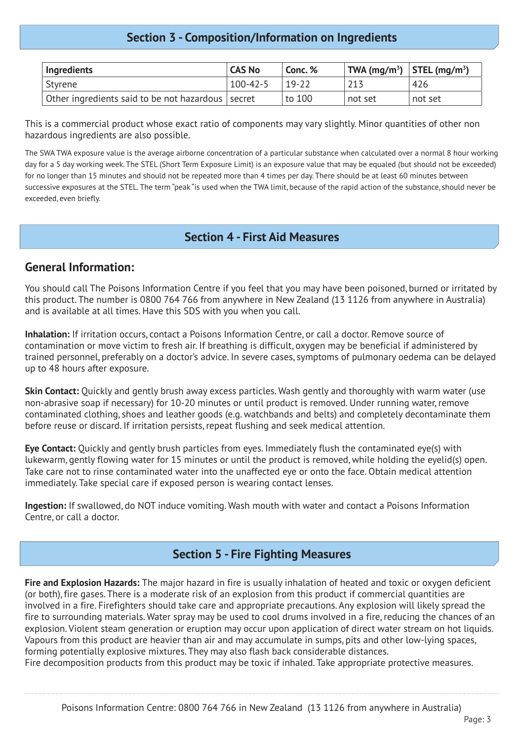# **Section 3 - Composition/Information on Ingredients**

| Ingredients                                         | <b>CAS No</b>  | Conc. % | TWA (mg/m <sup>3</sup> ) STEL (mg/m <sup>3</sup> ) |         |
|-----------------------------------------------------|----------------|---------|----------------------------------------------------|---------|
| Styrene                                             | $100 - 42 - 5$ | $19-22$ | 213                                                | 426     |
| Other ingredients said to be not hazardous   secret |                | to 100  | not set                                            | not set |

This is a commercial product whose exact ratio of components may vary slightly. Minor quantities of other non hazardous ingredients are also possible.

The SWA TWA exposure value is the average airborne concentration of a particular substance when calculated over a normal 8 hour working day for a 5 day working week. The STEL (Short Term Exposure Limit) is an exposure value that may be equaled (but should not be exceeded) for no longer than 15 minutes and should not be repeated more than 4 times per day. There should be at least 60 minutes between successive exposures at the STEL. The term "peak "is used when the TWA limit, because of the rapid action of the substance, should never be exceeded, even briefly.

### **Section 4 - First Aid Measures**

### **General Information:**

You should call The Poisons Information Centre if you feel that you may have been poisoned, burned or irritated by this product. The number is 0800 764 766 from anywhere in New Zealand (13 1126 from anywhere in Australia) and is available at all times. Have this SDS with you when you call.

**Inhalation:** If irritation occurs, contact a Poisons Information Centre, or call a doctor. Remove source of contamination or move victim to fresh air. If breathing is difficult, oxygen may be beneficial if administered by trained personnel, preferably on a doctor's advice. In severe cases, symptoms of pulmonary oedema can be delayed up to 48 hours after exposure.

**Skin Contact:** Quickly and gently brush away excess particles. Wash gently and thoroughly with warm water (use non-abrasive soap if necessary) for 10-20 minutes or until product is removed. Under running water, remove contaminated clothing, shoes and leather goods (e.g. watchbands and belts) and completely decontaminate them before reuse or discard. If irritation persists, repeat flushing and seek medical attention.

**Eye Contact:** Quickly and gently brush particles from eyes. Immediately flush the contaminated eye(s) with lukewarm, gently flowing water for 15 minutes or until the product is removed, while holding the eyelid(s) open. Take care not to rinse contaminated water into the unaffected eye or onto the face. Obtain medical attention immediately. Take special care if exposed person is wearing contact lenses.

**Ingestion:** If swallowed, do NOT induce vomiting. Wash mouth with water and contact a Poisons Information Centre, or call a doctor.

## **Section 5 - Fire Fighting Measures**

**Fire and Explosion Hazards:** The major hazard in fire is usually inhalation of heated and toxic or oxygen deficient (or both), fire gases. There is a moderate risk of an explosion from this product if commercial quantities are involved in a fire. Firefighters should take care and appropriate precautions. Any explosion will likely spread the fire to surrounding materials. Water spray may be used to cool drums involved in a fire, reducing the chances of an explosion. Violent steam generation or eruption may occur upon application of direct water stream on hot liquids. Vapours from this product are heavier than air and may accumulate in sumps, pits and other low-lying spaces, forming potentially explosive mixtures. They may also flash back considerable distances.

Fire decomposition products from this product may be toxic if inhaled. Take appropriate protective measures.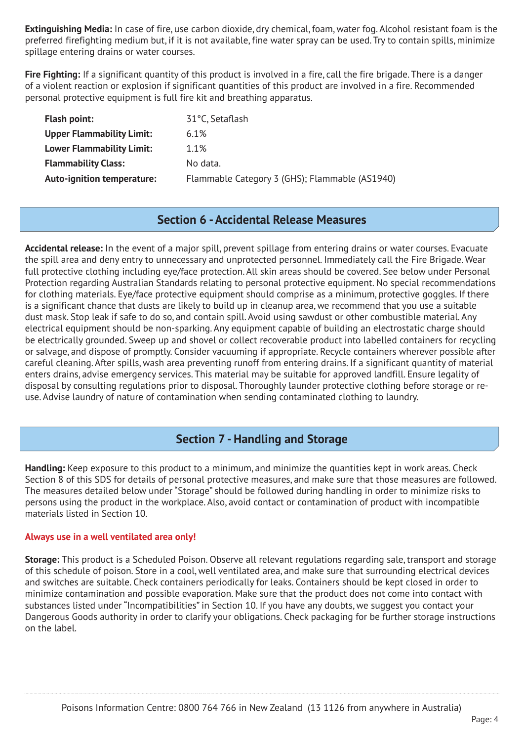**Extinguishing Media:** In case of fire, use carbon dioxide, dry chemical, foam, water fog. Alcohol resistant foam is the preferred firefighting medium but, if it is not available, fine water spray can be used. Try to contain spills, minimize spillage entering drains or water courses.

**Fire Fighting:** If a significant quantity of this product is involved in a fire, call the fire brigade. There is a danger of a violent reaction or explosion if significant quantities of this product are involved in a fire. Recommended personal protective equipment is full fire kit and breathing apparatus.

| <b>Flash point:</b>               | 31°C, Setaflash                                |
|-----------------------------------|------------------------------------------------|
| <b>Upper Flammability Limit:</b>  | 6.1%                                           |
| <b>Lower Flammability Limit:</b>  | 1.1%                                           |
| <b>Flammability Class:</b>        | No data.                                       |
| <b>Auto-ignition temperature:</b> | Flammable Category 3 (GHS); Flammable (AS1940) |

## **Section 6 - Accidental Release Measures**

**Accidental release:** In the event of a major spill, prevent spillage from entering drains or water courses. Evacuate the spill area and deny entry to unnecessary and unprotected personnel. Immediately call the Fire Brigade. Wear full protective clothing including eye/face protection. All skin areas should be covered. See below under Personal Protection regarding Australian Standards relating to personal protective equipment. No special recommendations for clothing materials. Eye/face protective equipment should comprise as a minimum, protective goggles. If there is a significant chance that dusts are likely to build up in cleanup area, we recommend that you use a suitable dust mask. Stop leak if safe to do so, and contain spill. Avoid using sawdust or other combustible material. Any electrical equipment should be non-sparking. Any equipment capable of building an electrostatic charge should be electrically grounded. Sweep up and shovel or collect recoverable product into labelled containers for recycling or salvage, and dispose of promptly. Consider vacuuming if appropriate. Recycle containers wherever possible after careful cleaning. After spills, wash area preventing runoff from entering drains. If a significant quantity of material enters drains, advise emergency services. This material may be suitable for approved landfill. Ensure legality of disposal by consulting regulations prior to disposal. Thoroughly launder protective clothing before storage or reuse. Advise laundry of nature of contamination when sending contaminated clothing to laundry.

# **Section 7 - Handling and Storage**

**Handling:** Keep exposure to this product to a minimum, and minimize the quantities kept in work areas. Check Section 8 of this SDS for details of personal protective measures, and make sure that those measures are followed. The measures detailed below under "Storage" should be followed during handling in order to minimize risks to persons using the product in the workplace. Also, avoid contact or contamination of product with incompatible materials listed in Section 10.

#### **Always use in a well ventilated area only!**

**Storage:** This product is a Scheduled Poison. Observe all relevant regulations regarding sale, transport and storage of this schedule of poison. Store in a cool, well ventilated area, and make sure that surrounding electrical devices and switches are suitable. Check containers periodically for leaks. Containers should be kept closed in order to minimize contamination and possible evaporation. Make sure that the product does not come into contact with substances listed under "Incompatibilities" in Section 10. If you have any doubts, we suggest you contact your Dangerous Goods authority in order to clarify your obligations. Check packaging for be further storage instructions on the label.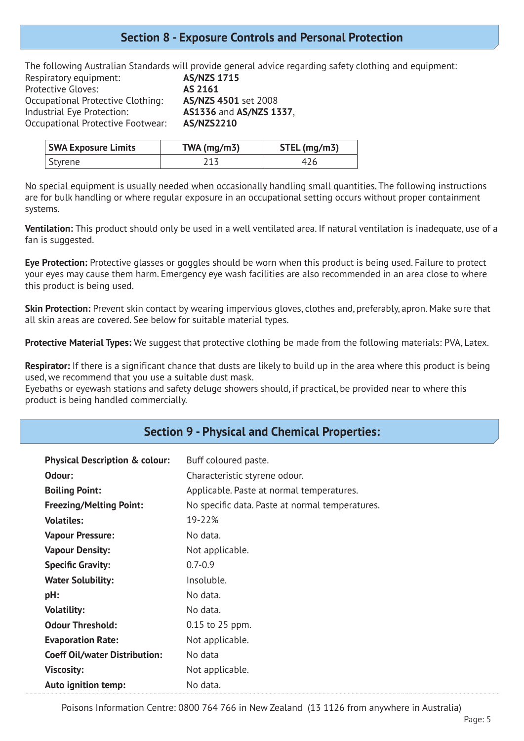### **Section 8 - Exposure Controls and Personal Protection**

The following Australian Standards will provide general advice regarding safety clothing and equipment: Respiratory equipment: **AS/NZS 1715** Protective Gloves: **AS 2161** Occupational Protective Clothing: **AS/NZS 4501** set 2008 Industrial Eye Protection: **AS1336** and **AS/NZS 1337**, Occupational Protective Footwear: **AS/NZS2210**

| <b>SWA Exposure Limits</b> | TWA ( $mg/m3$ ) | STEL (mg/m3) |
|----------------------------|-----------------|--------------|
| Styrene                    |                 | 426          |

No special equipment is usually needed when occasionally handling small quantities. The following instructions are for bulk handling or where regular exposure in an occupational setting occurs without proper containment systems.

**Ventilation:** This product should only be used in a well ventilated area. If natural ventilation is inadequate, use of a fan is suggested.

**Eye Protection:** Protective glasses or goggles should be worn when this product is being used. Failure to protect your eyes may cause them harm. Emergency eye wash facilities are also recommended in an area close to where this product is being used.

**Skin Protection:** Prevent skin contact by wearing impervious gloves, clothes and, preferably, apron. Make sure that all skin areas are covered. See below for suitable material types.

**Protective Material Types:** We suggest that protective clothing be made from the following materials: PVA, Latex.

**Respirator:** If there is a significant chance that dusts are likely to build up in the area where this product is being used, we recommend that you use a suitable dust mask.

Eyebaths or eyewash stations and safety deluge showers should, if practical, be provided near to where this product is being handled commercially.

## **Section 9 - Physical and Chemical Properties:**

| <b>Physical Description &amp; colour:</b> | Buff coloured paste.                            |
|-------------------------------------------|-------------------------------------------------|
| Odour:                                    | Characteristic styrene odour.                   |
| <b>Boiling Point:</b>                     | Applicable. Paste at normal temperatures.       |
| <b>Freezing/Melting Point:</b>            | No specific data. Paste at normal temperatures. |
| <b>Volatiles:</b>                         | 19-22%                                          |
| <b>Vapour Pressure:</b>                   | No data.                                        |
| <b>Vapour Density:</b>                    | Not applicable.                                 |
| <b>Specific Gravity:</b>                  | $0.7 - 0.9$                                     |
| <b>Water Solubility:</b>                  | Insoluble.                                      |
| pH:                                       | No data.                                        |
| <b>Volatility:</b>                        | No data.                                        |
| <b>Odour Threshold:</b>                   | 0.15 to 25 ppm.                                 |
| <b>Evaporation Rate:</b>                  | Not applicable.                                 |
| <b>Coeff Oil/water Distribution:</b>      | No data                                         |
| <b>Viscosity:</b>                         | Not applicable.                                 |
| <b>Auto ignition temp:</b>                | No data.                                        |

Poisons Information Centre: 0800 764 766 in New Zealand (13 1126 from anywhere in Australia)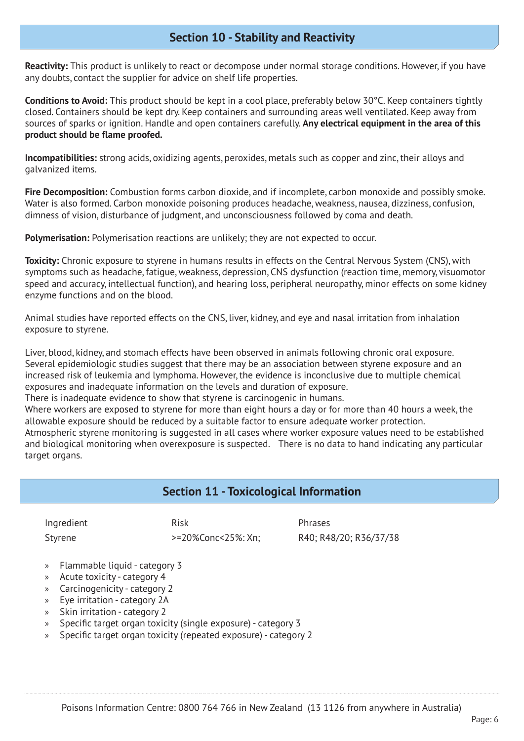## **Section 10 - Stability and Reactivity**

**Reactivity:** This product is unlikely to react or decompose under normal storage conditions. However, if you have any doubts, contact the supplier for advice on shelf life properties.

**Conditions to Avoid:** This product should be kept in a cool place, preferably below 30°C. Keep containers tightly closed. Containers should be kept dry. Keep containers and surrounding areas well ventilated. Keep away from sources of sparks or ignition. Handle and open containers carefully. **Any electrical equipment in the area of this product should be flame proofed.**

**Incompatibilities:** strong acids, oxidizing agents, peroxides, metals such as copper and zinc, their alloys and galvanized items.

**Fire Decomposition:** Combustion forms carbon dioxide, and if incomplete, carbon monoxide and possibly smoke. Water is also formed. Carbon monoxide poisoning produces headache, weakness, nausea, dizziness, confusion, dimness of vision, disturbance of judgment, and unconsciousness followed by coma and death.

**Polymerisation:** Polymerisation reactions are unlikely; they are not expected to occur.

**Toxicity:** Chronic exposure to styrene in humans results in effects on the Central Nervous System (CNS), with symptoms such as headache, fatigue, weakness, depression, CNS dysfunction (reaction time, memory, visuomotor speed and accuracy, intellectual function), and hearing loss, peripheral neuropathy, minor effects on some kidney enzyme functions and on the blood.

Animal studies have reported effects on the CNS, liver, kidney, and eye and nasal irritation from inhalation exposure to styrene.

Liver, blood, kidney, and stomach effects have been observed in animals following chronic oral exposure. Several epidemiologic studies suggest that there may be an association between styrene exposure and an increased risk of leukemia and lymphoma. However, the evidence is inconclusive due to multiple chemical exposures and inadequate information on the levels and duration of exposure.

There is inadequate evidence to show that styrene is carcinogenic in humans.

Where workers are exposed to styrene for more than eight hours a day or for more than 40 hours a week, the allowable exposure should be reduced by a suitable factor to ensure adequate worker protection.

Atmospheric styrene monitoring is suggested in all cases where worker exposure values need to be established and biological monitoring when overexposure is suspected. There is no data to hand indicating any particular target organs.

#### **Section 11 - Toxicological Information**

| Ingredient |  |
|------------|--|
| Stvrene    |  |

Ingredient **Risk** Risk **Phrases** 

Styrene >=20%Conc<25%: Xn; R40; R48/20; R36/37/38

- » Flammable liquid category 3
- » Acute toxicity category 4
- » Carcinogenicity category 2
- » Eye irritation category 2A
- » Skin irritation category 2
- » Specific target organ toxicity (single exposure) category 3
- » Specific target organ toxicity (repeated exposure) category 2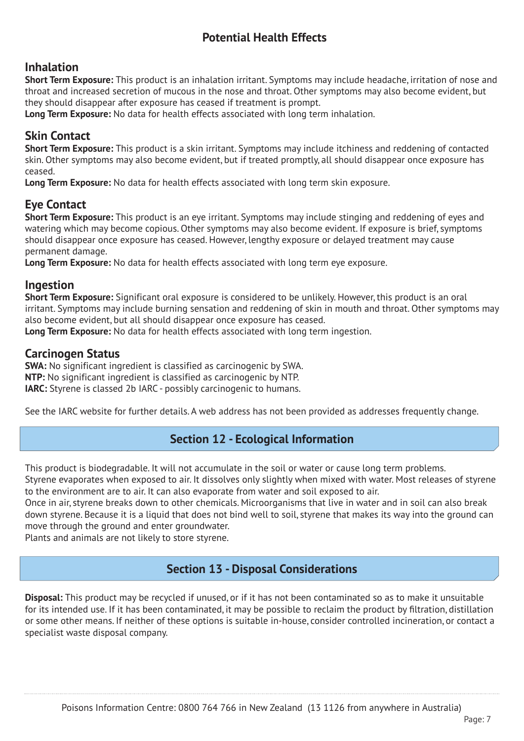# **Potential Health Effects**

# **Inhalation**

**Short Term Exposure:** This product is an inhalation irritant. Symptoms may include headache, irritation of nose and throat and increased secretion of mucous in the nose and throat. Other symptoms may also become evident, but they should disappear after exposure has ceased if treatment is prompt.

**Long Term Exposure:** No data for health effects associated with long term inhalation.

# **Skin Contact**

**Short Term Exposure:** This product is a skin irritant. Symptoms may include itchiness and reddening of contacted skin. Other symptoms may also become evident, but if treated promptly, all should disappear once exposure has ceased.

**Long Term Exposure:** No data for health effects associated with long term skin exposure.

# **Eye Contact**

**Short Term Exposure:** This product is an eye irritant. Symptoms may include stinging and reddening of eyes and watering which may become copious. Other symptoms may also become evident. If exposure is brief, symptoms should disappear once exposure has ceased. However, lengthy exposure or delayed treatment may cause permanent damage.

**Long Term Exposure:** No data for health effects associated with long term eye exposure.

### **Ingestion**

**Short Term Exposure:** Significant oral exposure is considered to be unlikely. However, this product is an oral irritant. Symptoms may include burning sensation and reddening of skin in mouth and throat. Other symptoms may also become evident, but all should disappear once exposure has ceased.

**Long Term Exposure:** No data for health effects associated with long term ingestion.

#### **Carcinogen Status**

**SWA:** No significant ingredient is classified as carcinogenic by SWA. **NTP:** No significant ingredient is classified as carcinogenic by NTP. **IARC:** Styrene is classed 2b IARC - possibly carcinogenic to humans.

See the IARC website for further details. A web address has not been provided as addresses frequently change.

# **Section 12 - Ecological Information**

This product is biodegradable. It will not accumulate in the soil or water or cause long term problems.

Styrene evaporates when exposed to air. It dissolves only slightly when mixed with water. Most releases of styrene to the environment are to air. It can also evaporate from water and soil exposed to air.

Once in air, styrene breaks down to other chemicals. Microorganisms that live in water and in soil can also break down styrene. Because it is a liquid that does not bind well to soil, styrene that makes its way into the ground can move through the ground and enter groundwater.

Plants and animals are not likely to store styrene.

# **Section 13 - Disposal Considerations**

**Disposal:** This product may be recycled if unused, or if it has not been contaminated so as to make it unsuitable for its intended use. If it has been contaminated, it may be possible to reclaim the product by filtration, distillation or some other means. If neither of these options is suitable in-house, consider controlled incineration, or contact a specialist waste disposal company.